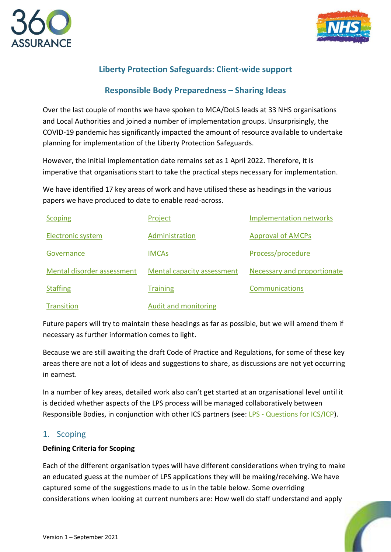



# **Liberty Protection Safeguards: Client-wide support**

# **Responsible Body Preparedness – Sharing Ideas**

Over the last couple of months we have spoken to MCA/DoLS leads at 33 NHS organisations and Local Authorities and joined a number of implementation groups. Unsurprisingly, the COVID-19 pandemic has significantly impacted the amount of resource available to undertake planning for implementation of the Liberty Protection Safeguards.

However, the initial implementation date remains set as 1 April 2022. Therefore, it is imperative that organisations start to take the practical steps necessary for implementation.

We have identified 17 key areas of work and have utilised these as headings in the various papers we have produced to date to enable read-across.

| <b>Scoping</b>             | Project                    | <b>Implementation networks</b> |
|----------------------------|----------------------------|--------------------------------|
| <b>Electronic system</b>   | Administration             | <b>Approval of AMCPs</b>       |
| Governance                 | <b>IMCAs</b>               | Process/procedure              |
| Mental disorder assessment | Mental capacity assessment | Necessary and proportionate    |
| <b>Staffing</b>            | <b>Training</b>            | <b>Communications</b>          |
| Transition                 | Audit and monitoring       |                                |

Future papers will try to maintain these headings as far as possible, but we will amend them if necessary as further information comes to light.

Because we are still awaiting the draft Code of Practice and Regulations, for some of these key areas there are not a lot of ideas and suggestions to share, as discussions are not yet occurring in earnest.

In a number of key areas, detailed work also can't get started at an organisational level until it is decided whether aspects of the LPS process will be managed collaboratively between Responsible Bodies, in conjunction with other ICS partners (see: LPS - [Questions for ICS/ICP\)](https://www.360assurance.co.uk/wp-content/uploads/2021/09/LPS-Questions-for-ICS-ICP-v.1.pdf).

## <span id="page-0-0"></span>1. Scoping

### **Defining Criteria for Scoping**

Each of the different organisation types will have different considerations when trying to make an educated guess at the number of LPS applications they will be making/receiving. We have captured some of the suggestions made to us in the table below. Some overriding considerations when looking at current numbers are: How well do staff understand and apply

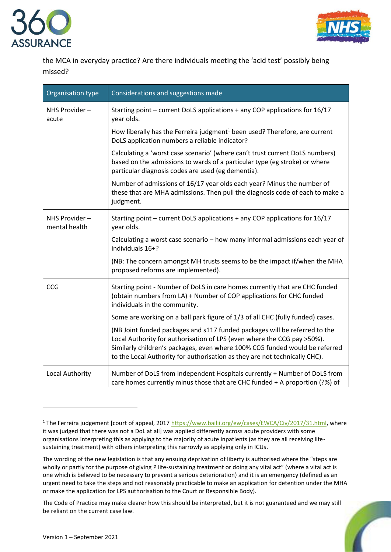



the MCA in everyday practice? Are there individuals meeting the 'acid test' possibly being missed?

| Organisation type              | Considerations and suggestions made                                                                                                                                                                                                                                                                                |
|--------------------------------|--------------------------------------------------------------------------------------------------------------------------------------------------------------------------------------------------------------------------------------------------------------------------------------------------------------------|
| NHS Provider-<br>acute         | Starting point - current DoLS applications + any COP applications for 16/17<br>year olds.                                                                                                                                                                                                                          |
|                                | How liberally has the Ferreira judgment <sup>1</sup> been used? Therefore, are current<br>DoLS application numbers a reliable indicator?                                                                                                                                                                           |
|                                | Calculating a 'worst case scenario' (where can't trust current DoLS numbers)<br>based on the admissions to wards of a particular type (eg stroke) or where<br>particular diagnosis codes are used (eg dementia).                                                                                                   |
|                                | Number of admissions of 16/17 year olds each year? Minus the number of<br>these that are MHA admissions. Then pull the diagnosis code of each to make a<br>judgment.                                                                                                                                               |
| NHS Provider-<br>mental health | Starting point - current DoLS applications + any COP applications for 16/17<br>year olds.                                                                                                                                                                                                                          |
|                                | Calculating a worst case scenario - how many informal admissions each year of<br>individuals 16+?                                                                                                                                                                                                                  |
|                                | (NB: The concern amongst MH trusts seems to be the impact if/when the MHA<br>proposed reforms are implemented).                                                                                                                                                                                                    |
| CCG                            | Starting point - Number of DoLS in care homes currently that are CHC funded<br>(obtain numbers from LA) + Number of COP applications for CHC funded<br>individuals in the community.                                                                                                                               |
|                                | Some are working on a ball park figure of 1/3 of all CHC (fully funded) cases.                                                                                                                                                                                                                                     |
|                                | (NB Joint funded packages and s117 funded packages will be referred to the<br>Local Authority for authorisation of LPS (even where the CCG pay >50%).<br>Similarly children's packages, even where 100% CCG funded would be referred<br>to the Local Authority for authorisation as they are not technically CHC). |
| Local Authority                | Number of DoLS from Independent Hospitals currently + Number of DoLS from<br>care homes currently minus those that are CHC funded + A proportion (?%) of                                                                                                                                                           |

The Code of Practice may make clearer how this should be interpreted, but it is not guaranteed and we may still be reliant on the current case law.



<sup>&</sup>lt;sup>1</sup> The Ferreira judgement [court of appeal, 2017 [https://www.bailii.org/ew/cases/EWCA/Civ/2017/31.html,](https://www.bailii.org/ew/cases/EWCA/Civ/2017/31.html) where it was judged that there was not a DoL at all] was applied differently across acute providers with some organisations interpreting this as applying to the majority of acute inpatients (as they are all receiving lifesustaining treatment) with others interpreting this narrowly as applying only in ICUs.

The wording of the new legislation is that any ensuing deprivation of liberty is authorised where the "steps are wholly or partly for the purpose of giving P life-sustaining treatment or doing any vital act" (where a vital act is one which is believed to be necessary to prevent a serious deterioration) and it is an emergency (defined as an urgent need to take the steps and not reasonably practicable to make an application for detention under the MHA or make the application for LPS authorisation to the Court or Responsible Body).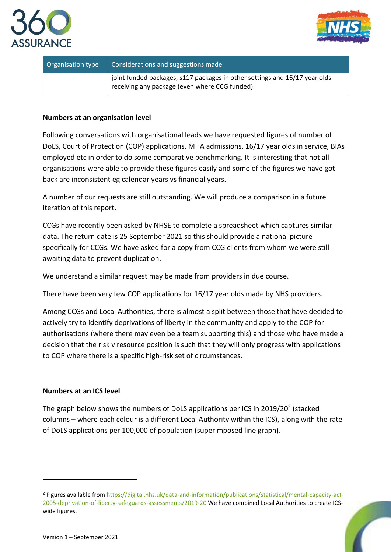



| Organisation type | Considerations and suggestions made                                                                                          |
|-------------------|------------------------------------------------------------------------------------------------------------------------------|
|                   | joint funded packages, s117 packages in other settings and 16/17 year olds<br>receiving any package (even where CCG funded). |

### **Numbers at an organisation level**

Following conversations with organisational leads we have requested figures of number of DoLS, Court of Protection (COP) applications, MHA admissions, 16/17 year olds in service, BIAs employed etc in order to do some comparative benchmarking. It is interesting that not all organisations were able to provide these figures easily and some of the figures we have got back are inconsistent eg calendar years vs financial years.

A number of our requests are still outstanding. We will produce a comparison in a future iteration of this report.

CCGs have recently been asked by NHSE to complete a spreadsheet which captures similar data. The return date is 25 September 2021 so this should provide a national picture specifically for CCGs. We have asked for a copy from CCG clients from whom we were still awaiting data to prevent duplication.

We understand a similar request may be made from providers in due course.

There have been very few COP applications for 16/17 year olds made by NHS providers.

Among CCGs and Local Authorities, there is almost a split between those that have decided to actively try to identify deprivations of liberty in the community and apply to the COP for authorisations (where there may even be a team supporting this) and those who have made a decision that the risk v resource position is such that they will only progress with applications to COP where there is a specific high-risk set of circumstances.

### **Numbers at an ICS level**

The graph below shows the numbers of DoLS applications per ICS in 2019/20<sup>2</sup> (stacked columns – where each colour is a different Local Authority within the ICS), along with the rate of DoLS applications per 100,000 of population (superimposed line graph).

<sup>&</sup>lt;sup>2</sup> Figures available fro[m https://digital.nhs.uk/data-and-information/publications/statistical/mental-capacity-act-](https://digital.nhs.uk/data-and-information/publications/statistical/mental-capacity-act-2005-deprivation-of-liberty-safeguards-assessments/2019-20)[2005-deprivation-of-liberty-safeguards-assessments/2019-20](https://digital.nhs.uk/data-and-information/publications/statistical/mental-capacity-act-2005-deprivation-of-liberty-safeguards-assessments/2019-20) We have combined Local Authorities to create ICSwide figures.

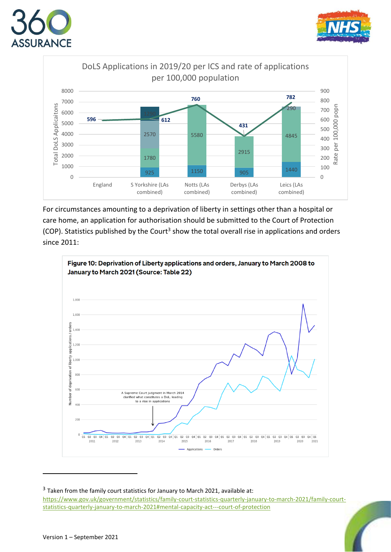





For circumstances amounting to a deprivation of liberty in settings other than a hospital or care home, an application for authorisation should be submitted to the Court of Protection (COP). Statistics published by the Court<sup>3</sup> show the total overall rise in applications and orders since 2011:



 Taken from the family court statistics for January to March 2021, available at: [https://www.gov.uk/government/statistics/family-court-statistics-quarterly-january-to-march-2021/family-court](https://www.gov.uk/government/statistics/family-court-statistics-quarterly-january-to-march-2021/family-court-statistics-quarterly-january-to-march-2021#mental-capacity-act---court-of-protection)[statistics-quarterly-january-to-march-2021#mental-capacity-act---court-of-protection](https://www.gov.uk/government/statistics/family-court-statistics-quarterly-january-to-march-2021/family-court-statistics-quarterly-january-to-march-2021#mental-capacity-act---court-of-protection)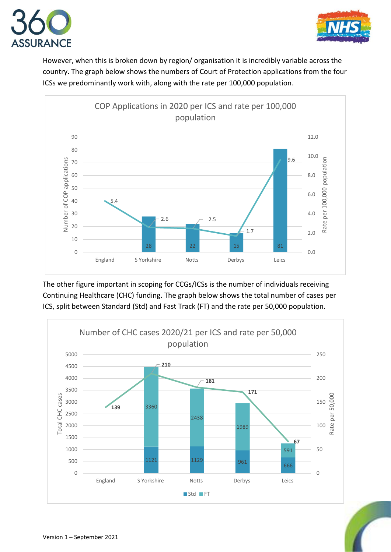



However, when this is broken down by region/ organisation it is incredibly variable across the country. The graph below shows the numbers of Court of Protection applications from the four ICSs we predominantly work with, along with the rate per 100,000 population.



The other figure important in scoping for CCGs/ICSs is the number of individuals receiving Continuing Healthcare (CHC) funding. The graph below shows the total number of cases per ICS, split between Standard (Std) and Fast Track (FT) and the rate per 50,000 population.



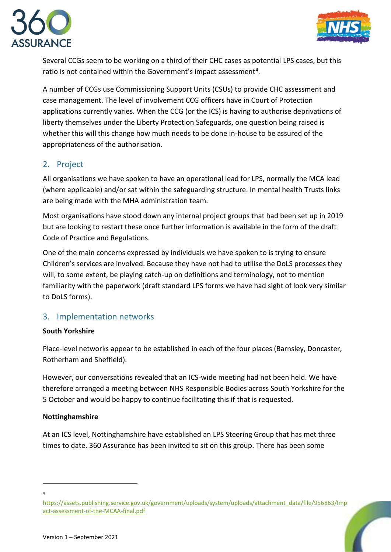



Several CCGs seem to be working on a third of their CHC cases as potential LPS cases, but this ratio is not contained within the Government's impact assessment<sup>4</sup>.

A number of CCGs use Commissioning Support Units (CSUs) to provide CHC assessment and case management. The level of involvement CCG officers have in Court of Protection applications currently varies. When the CCG (or the ICS) is having to authorise deprivations of liberty themselves under the Liberty Protection Safeguards, one question being raised is whether this will this change how much needs to be done in-house to be assured of the appropriateness of the authorisation.

# <span id="page-5-0"></span>2. Project

All organisations we have spoken to have an operational lead for LPS, normally the MCA lead (where applicable) and/or sat within the safeguarding structure. In mental health Trusts links are being made with the MHA administration team.

Most organisations have stood down any internal project groups that had been set up in 2019 but are looking to restart these once further information is available in the form of the draft Code of Practice and Regulations.

One of the main concerns expressed by individuals we have spoken to is trying to ensure Children's services are involved. Because they have not had to utilise the DoLS processes they will, to some extent, be playing catch-up on definitions and terminology, not to mention familiarity with the paperwork (draft standard LPS forms we have had sight of look very similar to DoLS forms).

# <span id="page-5-1"></span>3. Implementation networks

## **South Yorkshire**

Place-level networks appear to be established in each of the four places (Barnsley, Doncaster, Rotherham and Sheffield).

However, our conversations revealed that an ICS-wide meeting had not been held. We have therefore arranged a meeting between NHS Responsible Bodies across South Yorkshire for the 5 October and would be happy to continue facilitating this if that is requested.

### **Nottinghamshire**

At an ICS level, Nottinghamshire have established an LPS Steering Group that has met three times to date. 360 Assurance has been invited to sit on this group. There has been some

<sup>4</sup>

[https://assets.publishing.service.gov.uk/government/uploads/system/uploads/attachment\\_data/file/956863/Imp](https://assets.publishing.service.gov.uk/government/uploads/system/uploads/attachment_data/file/956863/Impact-assessment-of-the-MCAA-final.pdf) [act-assessment-of-the-MCAA-final.pdf](https://assets.publishing.service.gov.uk/government/uploads/system/uploads/attachment_data/file/956863/Impact-assessment-of-the-MCAA-final.pdf)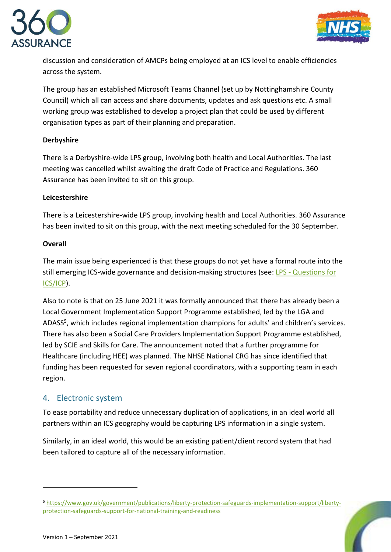



discussion and consideration of AMCPs being employed at an ICS level to enable efficiencies across the system.

The group has an established Microsoft Teams Channel (set up by Nottinghamshire County Council) which all can access and share documents, updates and ask questions etc. A small working group was established to develop a project plan that could be used by different organisation types as part of their planning and preparation.

### **Derbyshire**

There is a Derbyshire-wide LPS group, involving both health and Local Authorities. The last meeting was cancelled whilst awaiting the draft Code of Practice and Regulations. 360 Assurance has been invited to sit on this group.

### **Leicestershire**

There is a Leicestershire-wide LPS group, involving health and Local Authorities. 360 Assurance has been invited to sit on this group, with the next meeting scheduled for the 30 September.

### **Overall**

The main issue being experienced is that these groups do not yet have a formal route into the still emerging ICS-wide governance and decision-making structures (see: LPS - [Questions for](https://www.360assurance.co.uk/wp-content/uploads/2021/09/LPS-Questions-for-ICS-ICP-v.1.pdf)  [ICS/ICP\)](https://www.360assurance.co.uk/wp-content/uploads/2021/09/LPS-Questions-for-ICS-ICP-v.1.pdf).

Also to note is that on 25 June 2021 it was formally announced that there has already been a Local Government Implementation Support Programme established, led by the LGA and ADASS<sup>5</sup>, which includes regional implementation champions for adults' and children's services. There has also been a Social Care Providers Implementation Support Programme established, led by SCIE and Skills for Care. The announcement noted that a further programme for Healthcare (including HEE) was planned. The NHSE National CRG has since identified that funding has been requested for seven regional coordinators, with a supporting team in each region.

## <span id="page-6-0"></span>4. Electronic system

To ease portability and reduce unnecessary duplication of applications, in an ideal world all partners within an ICS geography would be capturing LPS information in a single system.

Similarly, in an ideal world, this would be an existing patient/client record system that had been tailored to capture all of the necessary information.

<sup>5</sup> [https://www.gov.uk/government/publications/liberty-protection-safeguards-implementation-support/liberty](https://www.gov.uk/government/publications/liberty-protection-safeguards-implementation-support/liberty-protection-safeguards-support-for-national-training-and-readiness)[protection-safeguards-support-for-national-training-and-readiness](https://www.gov.uk/government/publications/liberty-protection-safeguards-implementation-support/liberty-protection-safeguards-support-for-national-training-and-readiness)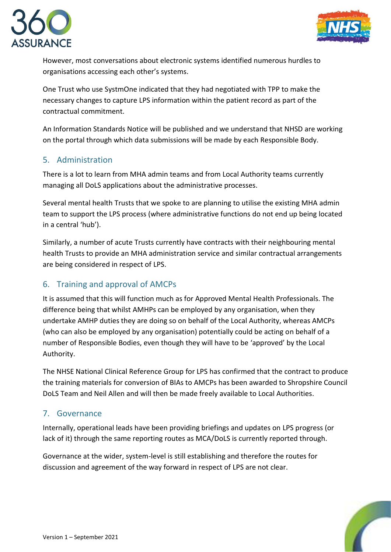



However, most conversations about electronic systems identified numerous hurdles to organisations accessing each other's systems.

One Trust who use SystmOne indicated that they had negotiated with TPP to make the necessary changes to capture LPS information within the patient record as part of the contractual commitment.

An Information Standards Notice will be published and we understand that NHSD are working on the portal through which data submissions will be made by each Responsible Body.

# <span id="page-7-0"></span>5. Administration

There is a lot to learn from MHA admin teams and from Local Authority teams currently managing all DoLS applications about the administrative processes.

Several mental health Trusts that we spoke to are planning to utilise the existing MHA admin team to support the LPS process (where administrative functions do not end up being located in a central 'hub').

Similarly, a number of acute Trusts currently have contracts with their neighbouring mental health Trusts to provide an MHA administration service and similar contractual arrangements are being considered in respect of LPS.

# <span id="page-7-1"></span>6. Training and approval of AMCPs

It is assumed that this will function much as for Approved Mental Health Professionals. The difference being that whilst AMHPs can be employed by any organisation, when they undertake AMHP duties they are doing so on behalf of the Local Authority, whereas AMCPs (who can also be employed by any organisation) potentially could be acting on behalf of a number of Responsible Bodies, even though they will have to be 'approved' by the Local Authority.

The NHSE National Clinical Reference Group for LPS has confirmed that the contract to produce the training materials for conversion of BIAs to AMCPs has been awarded to Shropshire Council DoLS Team and Neil Allen and will then be made freely available to Local Authorities.

# <span id="page-7-2"></span>7. Governance

Internally, operational leads have been providing briefings and updates on LPS progress (or lack of it) through the same reporting routes as MCA/DoLS is currently reported through.

Governance at the wider, system-level is still establishing and therefore the routes for discussion and agreement of the way forward in respect of LPS are not clear.

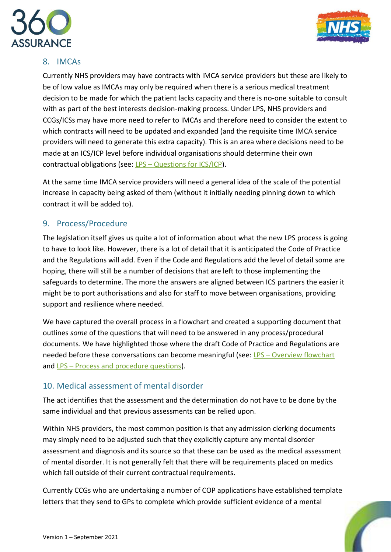



# <span id="page-8-0"></span>8. IMCAs

Currently NHS providers may have contracts with IMCA service providers but these are likely to be of low value as IMCAs may only be required when there is a serious medical treatment decision to be made for which the patient lacks capacity and there is no-one suitable to consult with as part of the best interests decision-making process. Under LPS, NHS providers and CCGs/ICSs may have more need to refer to IMCAs and therefore need to consider the extent to which contracts will need to be updated and expanded (and the requisite time IMCA service providers will need to generate this extra capacity). This is an area where decisions need to be made at an ICS/ICP level before individual organisations should determine their own contractual obligations (see: LPS – [Questions for ICS/ICP\)](https://www.360assurance.co.uk/wp-content/uploads/2021/09/LPS-Questions-for-ICS-ICP-v.1.pdf).

At the same time IMCA service providers will need a general idea of the scale of the potential increase in capacity being asked of them (without it initially needing pinning down to which contract it will be added to).

# <span id="page-8-1"></span>9. Process/Procedure

The legislation itself gives us quite a lot of information about what the new LPS process is going to have to look like. However, there is a lot of detail that it is anticipated the Code of Practice and the Regulations will add. Even if the Code and Regulations add the level of detail some are hoping, there will still be a number of decisions that are left to those implementing the safeguards to determine. The more the answers are aligned between ICS partners the easier it might be to port authorisations and also for staff to move between organisations, providing support and resilience where needed.

We have captured the overall process in a flowchart and created a supporting document that outlines *some* of the questions that will need to be answered in any process/procedural documents. We have highlighted those where the draft Code of Practice and Regulations are needed before these conversations can become meaningful (see: LPS – [Overview flowchart](https://www.360assurance.co.uk/wp-content/uploads/2021/09/LPS-Overview-flowchart-v.1.pdf) and LPS – [Process and procedure questions\)](https://www.360assurance.co.uk/wp-content/uploads/2021/09/LPS-Process-and-procedure-questions-to-accompany-flowchart-v.1.pdf).

# <span id="page-8-2"></span>10. Medical assessment of mental disorder

The act identifies that the assessment and the determination do not have to be done by the same individual and that previous assessments can be relied upon.

Within NHS providers, the most common position is that any admission clerking documents may simply need to be adjusted such that they explicitly capture any mental disorder assessment and diagnosis and its source so that these can be used as the medical assessment of mental disorder. It is not generally felt that there will be requirements placed on medics which fall outside of their current contractual requirements.

Currently CCGs who are undertaking a number of COP applications have established template letters that they send to GPs to complete which provide sufficient evidence of a mental

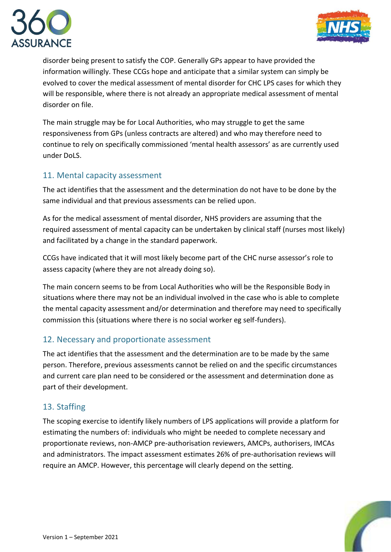



disorder being present to satisfy the COP. Generally GPs appear to have provided the information willingly. These CCGs hope and anticipate that a similar system can simply be evolved to cover the medical assessment of mental disorder for CHC LPS cases for which they will be responsible, where there is not already an appropriate medical assessment of mental disorder on file.

The main struggle may be for Local Authorities, who may struggle to get the same responsiveness from GPs (unless contracts are altered) and who may therefore need to continue to rely on specifically commissioned 'mental health assessors' as are currently used under DoLS.

# <span id="page-9-0"></span>11. Mental capacity assessment

The act identifies that the assessment and the determination do not have to be done by the same individual and that previous assessments can be relied upon.

As for the medical assessment of mental disorder, NHS providers are assuming that the required assessment of mental capacity can be undertaken by clinical staff (nurses most likely) and facilitated by a change in the standard paperwork.

CCGs have indicated that it will most likely become part of the CHC nurse assessor's role to assess capacity (where they are not already doing so).

The main concern seems to be from Local Authorities who will be the Responsible Body in situations where there may not be an individual involved in the case who is able to complete the mental capacity assessment and/or determination and therefore may need to specifically commission this (situations where there is no social worker eg self-funders).

## <span id="page-9-1"></span>12. Necessary and proportionate assessment

The act identifies that the assessment and the determination are to be made by the same person. Therefore, previous assessments cannot be relied on and the specific circumstances and current care plan need to be considered or the assessment and determination done as part of their development.

# <span id="page-9-2"></span>13. Staffing

The scoping exercise to identify likely numbers of LPS applications will provide a platform for estimating the numbers of: individuals who might be needed to complete necessary and proportionate reviews, non-AMCP pre-authorisation reviewers, AMCPs, authorisers, IMCAs and administrators. The impact assessment estimates 26% of pre-authorisation reviews will require an AMCP. However, this percentage will clearly depend on the setting.

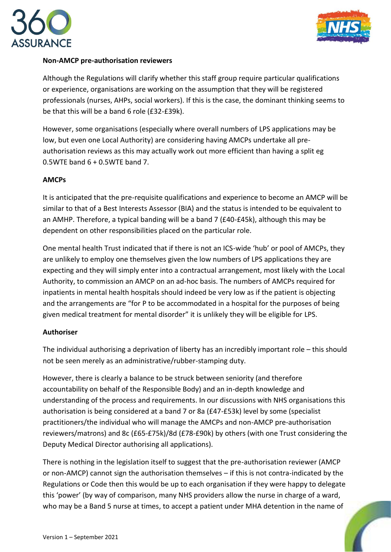



### **Non-AMCP pre-authorisation reviewers**

Although the Regulations will clarify whether this staff group require particular qualifications or experience, organisations are working on the assumption that they will be registered professionals (nurses, AHPs, social workers). If this is the case, the dominant thinking seems to be that this will be a band 6 role (£32-£39k).

However, some organisations (especially where overall numbers of LPS applications may be low, but even one Local Authority) are considering having AMCPs undertake all preauthorisation reviews as this may actually work out more efficient than having a split eg 0.5WTE band  $6 + 0.5W$ TE band 7.

### **AMCPs**

It is anticipated that the pre-requisite qualifications and experience to become an AMCP will be similar to that of a Best Interests Assessor (BIA) and the status is intended to be equivalent to an AMHP. Therefore, a typical banding will be a band 7 (£40-£45k), although this may be dependent on other responsibilities placed on the particular role.

One mental health Trust indicated that if there is not an ICS-wide 'hub' or pool of AMCPs, they are unlikely to employ one themselves given the low numbers of LPS applications they are expecting and they will simply enter into a contractual arrangement, most likely with the Local Authority, to commission an AMCP on an ad-hoc basis. The numbers of AMCPs required for inpatients in mental health hospitals should indeed be very low as if the patient is objecting and the arrangements are "for P to be accommodated in a hospital for the purposes of being given medical treatment for mental disorder" it is unlikely they will be eligible for LPS.

### **Authoriser**

The individual authorising a deprivation of liberty has an incredibly important role – this should not be seen merely as an administrative/rubber-stamping duty.

However, there is clearly a balance to be struck between seniority (and therefore accountability on behalf of the Responsible Body) and an in-depth knowledge and understanding of the process and requirements. In our discussions with NHS organisations this authorisation is being considered at a band 7 or 8a (£47-£53k) level by some (specialist practitioners/the individual who will manage the AMCPs and non-AMCP pre-authorisation reviewers/matrons) and 8c (£65-£75k)/8d (£78-£90k) by others (with one Trust considering the Deputy Medical Director authorising all applications).

There is nothing in the legislation itself to suggest that the pre-authorisation reviewer (AMCP or non-AMCP) cannot sign the authorisation themselves – if this is not contra-indicated by the Regulations or Code then this would be up to each organisation if they were happy to delegate this 'power' (by way of comparison, many NHS providers allow the nurse in charge of a ward, who may be a Band 5 nurse at times, to accept a patient under MHA detention in the name of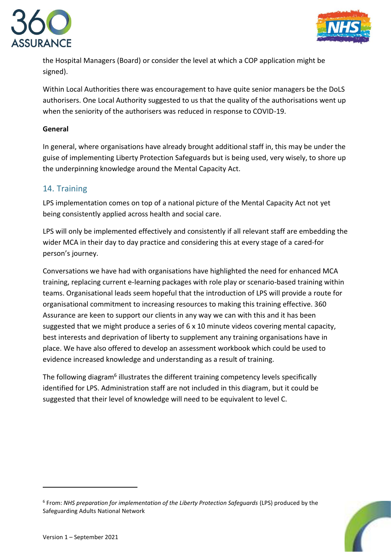



the Hospital Managers (Board) or consider the level at which a COP application might be signed).

Within Local Authorities there was encouragement to have quite senior managers be the DoLS authorisers. One Local Authority suggested to us that the quality of the authorisations went up when the seniority of the authorisers was reduced in response to COVID-19.

### **General**

In general, where organisations have already brought additional staff in, this may be under the guise of implementing Liberty Protection Safeguards but is being used, very wisely, to shore up the underpinning knowledge around the Mental Capacity Act.

## <span id="page-11-0"></span>14. Training

LPS implementation comes on top of a national picture of the Mental Capacity Act not yet being consistently applied across health and social care.

LPS will only be implemented effectively and consistently if all relevant staff are embedding the wider MCA in their day to day practice and considering this at every stage of a cared-for person's journey.

Conversations we have had with organisations have highlighted the need for enhanced MCA training, replacing current e-learning packages with role play or scenario-based training within teams. Organisational leads seem hopeful that the introduction of LPS will provide a route for organisational commitment to increasing resources to making this training effective. 360 Assurance are keen to support our clients in any way we can with this and it has been suggested that we might produce a series of 6 x 10 minute videos covering mental capacity, best interests and deprivation of liberty to supplement any training organisations have in place. We have also offered to develop an assessment workbook which could be used to evidence increased knowledge and understanding as a result of training.

The following diagram<sup>6</sup> illustrates the different training competency levels specifically identified for LPS. Administration staff are not included in this diagram, but it could be suggested that their level of knowledge will need to be equivalent to level C.

<sup>6</sup> From: *NHS preparation for implementation of the Liberty Protection Safeguards* (LPS) produced by the Safeguarding Adults National Network

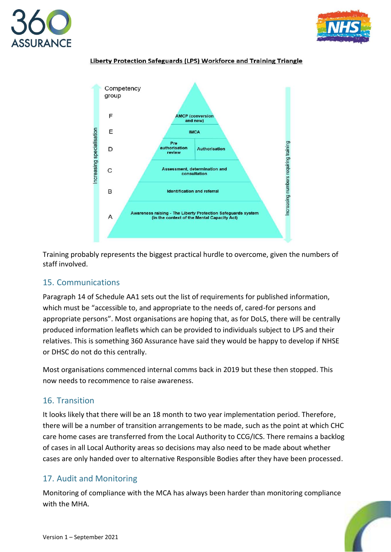







Training probably represents the biggest practical hurdle to overcome, given the numbers of staff involved.

# <span id="page-12-0"></span>15. Communications

Paragraph 14 of Schedule AA1 sets out the list of requirements for published information, which must be "accessible to, and appropriate to the needs of, cared-for persons and appropriate persons". Most organisations are hoping that, as for DoLS, there will be centrally produced information leaflets which can be provided to individuals subject to LPS and their relatives. This is something 360 Assurance have said they would be happy to develop if NHSE or DHSC do not do this centrally.

Most organisations commenced internal comms back in 2019 but these then stopped. This now needs to recommence to raise awareness.

# <span id="page-12-1"></span>16. Transition

It looks likely that there will be an 18 month to two year implementation period. Therefore, there will be a number of transition arrangements to be made, such as the point at which CHC care home cases are transferred from the Local Authority to CCG/ICS. There remains a backlog of cases in all Local Authority areas so decisions may also need to be made about whether cases are only handed over to alternative Responsible Bodies after they have been processed.

# <span id="page-12-2"></span>17. Audit and Monitoring

Monitoring of compliance with the MCA has always been harder than monitoring compliance with the MHA.